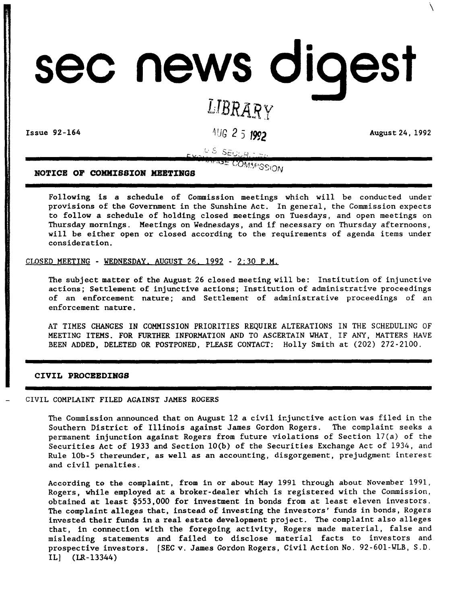# sec news digest

# *L1BRAR~Y*

Issue 92-164 *AUG* 2 5 **1992 August 24, 1992** 

 $\overline{\phantom{0}}$ 

U.S. SEULAITE MORE COMMISSION

**NOTICE OF COMMISSION MEETINGS** 

Following is a schedule of Commission meetings which will be conducted under provisions of the Government in the Sunshine Act. In general, the Commission expects to follow a schedule of holding closed meetings on Tuesdays, and open meetings on Thursday mornings. Meetings on Wednesdays, and if necessary on Thursday afternoons, will be either open or closed according to the requirements of agenda items under consideration.

CLOSED MEETING - WEDNESDAY. AUGUST 26. 1992 - 2:30 P.M.

The subject matter of the August 26 closed meeting will be: Institution of injunctive actions; Settlement of injunctive actions; Institution of administrative proceedings of an enforcement nature; and Settlement of administrative proceedings of an enforcement nature.

AT TIMES CHANGES IN COMMISSION PRIORITIES REQUIRE ALTERATIONS IN THE SCHEDULING OF MEETING ITEMS. FOR FURTHER INFORMATION AND TO ASCERTAIN WHAT, IF ANY, MATTERS HAVE BEEN ADDED, DELETED OR POSTPONED, PLEASE CONTACT: Holly Smith at (202) 272-2100.

# **CIVIL PROCEEDINGS**

#### CIVIL COMPLAINT FILED AGAINST JAMES ROGERS

The Commission announced that on August 12 a civil ir.junctive action was filed in the Southern District of Illinois against James Gordon Rogers. The complaint seeks a permanent injunction against Rogers from future violations of Section l7(a) of the Securities Act of 1933 and Section  $10(b)$  of the Securities Exchange Act of 1934, and Rule IOb-5 thereunder, as well as an accounting, disgorgement, prejudgment interest and civil penalties.

According to the complaint, from in or about May 1991 through about November 1991, Rogers, while employed at a broker-dealer which is registered with the Commission, obtained at least \$553,000 for investment in bonds from at least eleven investors. The complaint alleges that, instead of investing the investors' funds in bonds, Rogers invested their funds in a real estate development project. The complaint also alleges that, in connection with the foregoing activity, Rogers made material, false and misleading statements and failed to disclose material facts to investors and prospective investors. [SEC v. James Gordon Rogers, Civil Action No. 92-601-WLB, S.D. IL] (LR-13344)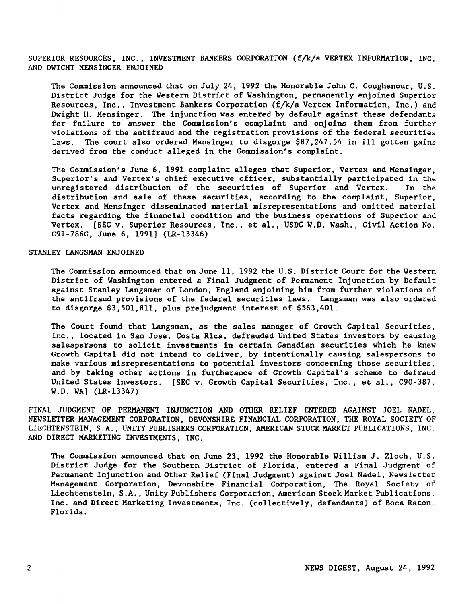SUPERIOR RESOURCES, INC., INVESTMENT BANKERS CORPORATION (f/k/a VERTEX INFORMATION, INC. AND DWIGHT MENSINGER ENJOINED

The Commission announced that on July 24, 1992 the Honorable John C. Coughenour, U.S. District Judge for the Western District of Washington, permanently enjoined Superior Resources, Inc., Investment Bankers Corporation (f/k/a Vertex Information, Inc.) and Dwight H. Mensinger. The injunction was entered by default against these defendants for failure to answer the Commission's complaint and enjoins them from further violations of the antifraud and the registration provisions of the federal securities laws. The court also ordered Mensinger to disgorge \$87,247.54 in ill gotten gains derived from the conduct alleged in the Commission's complaint.

The Commission's June 6, 1991 complaint alleges that Superior, Vertex and Mensinger, Superior's and Vertex's chief executive officer, substantially participated in the unregistered distribution of the securities of Superior and Vertex. In the distribution and sale of these securities, according to the complaint, Superior, Vertex and Mensinger disseminated material misrepresentations and omitted material facts regarding the financial condition and the business operations of Superior and Vertex. [SEC v. Superior Resources, Inc., et al., USDC W.D. Wash., Civil Action No. C9l-786C, June 6, 1991] (LR-13346)

#### STANLEY LANGSMAN ENJOINED

The Commission announced that on June 11, 1992 the U.S. District Court for the Western District of Washington entered a Final Judgment of Permanent Injunction by Default against Stanley Langsman of London, England enjoining him from further violations of the antifraud provisions of the federal securities laws. Langsman was also ordered to disgorge \$3,501,811, plus prejudgment interest of \$563,401.

The Court found that Langsman, as the sales manager of Growth Capital Securities, Inc., located in San Jose, Costa Rica, defrauded United States investors by causing salespersons to solicit investments in certain Canadian securities which he knew Growth Capital did not intend to deliver, by intentionally causing salespersons to make various misrepresentations to potential investors concerning those securities, and by taking other actions in furtherance of Growth Capital's scheme to defraud United States investors. [SEC v. Growth Capital Securities, Inc., et al., C90-387, W.D. WA] (LR-l3347)

FINAL JUDGMENT OF PERMANENT INJUNCTION AND OTHER RELIEF ENTERED AGAINST JOEL NADEL, NEWSLETTER MANAGEMENT CORPORATION, DEVONSHIRE FINANCIAL CORPORATION, THE ROYAL SOCIETY OF LIECHTENSTEIN, S.A., UNITY PUBLISHERS CORPORATION, AMERICAN STOCK MARKET PUBLICATIONS, INC. AND DIRECT MARKETING INVESTMENTS, INC.

The Commission announced that on June 23, 1992 the Honorable William J. Zloch, U.S. District Judge for the Southern District of Florida, entered a Final Judgment of Permanent Injunction and Other Relief (Final Judgment) against Joel Nadel, Newsletter Management Corporation, Devonshire Financial Corporation, The Royal Society of Liechtenstein, S .A., Unity Publishers Corporation, American Stock Market Publications, Inc. and Direct Marketing Investments, Inc. (collectively, defendants) of Boca Raton, Florida.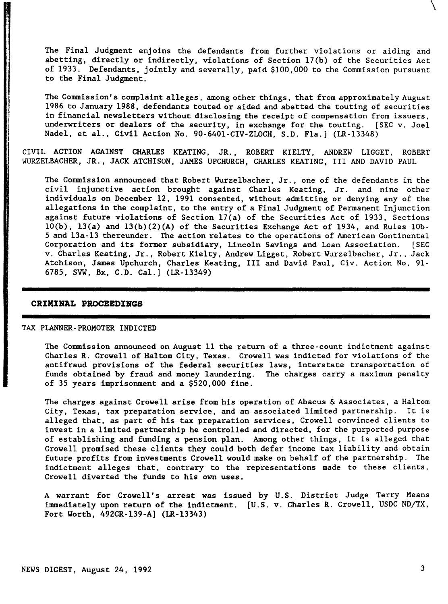The Final Judgment enjoins the defendants from further violations or aiding and abetting, directly or indirectly, violations of Section 17(b) of the Securities Act of 1933. Defendants, jointly and severally, paid \$100,000 to the Commission pursuant to the Final Judgment.

The Commission's complaint alleges, among other things, that from approximately August 1986 to January 1988, defendants touted or aided and abetted the touting of securities in financial newsletters without disclosing the receipt of compensation from issuers. underwriters or dealers of the security, in exchange for the touting. [SEC v. Joel Nadel, et al., Civil Action No. 90-640l-CIV-ZLOCH, S.D. Fla.] (LR-13348)

CIVIL ACTION AGAINST CHARLES KEATING, JR., ROBERT KIELTY, ANDREW LIGGET, ROBERT WURZELBACHER, JR., JACK ATCHISON, JAMES UPCHURCH, CHARLES KEATING, III AND DAVID PAUL

The Commission announced that Robert Wurzelbacher, Jr., one of the defendants in the civil injunctive action brought against Charles Keating, Jr. and nine other individuals on December 12, 1991 consented, without admitting or denying any of the allegations in the complaint, to the entry of a Final Judgment of Permanent Injunction against future violations of Section l7(a) of the Securities Act of 1933, Sections  $10(b)$ ,  $13(a)$  and  $13(b)(2)(A)$  of the Securities Exchange Act of 1934, and Rules 10b-S and 13a-13 thereunder. The action relates to the operations of American Continental Corporation and its former subsidiary, Lincoln Savings and Loan Association. [SEC v. Charles Keating, Jr., Robert Kielty, Andrew Ligget, Robert Wurzelbacher, Jr., Jack Atchison, James Upchurch, Charles Keating, III and David Paul, Civ. Action No. 91- 6785, SVW, Bx, C.D. Cal.] (LR-13349)

#### **CRIKINAL PROCEEDINGS**

#### TAX PLANNER-PROMOTER INDICTED

The Commission announced on August 11 the return of a three-count indictment against Charles R. Crowell of Haltom City, Texas. Crowell was indicted for violations of the antifraud provisions of the federal securities laws, interstate transportation of funds obtained by fraud and money laundering. The charges carry a maximum penalty of 35 years imprisonment and a \$520,000 fine.

The charges against Crowell arise from his operation of Abacus & Associates, <sup>a</sup> Haltom City, Texas, tax preparation service, and an associated limited partnership. It is alleged that, as part of his tax preparation services, Crowell convinced clients to invest in a limited partnership he controlled and directed, for the purported purpose of establishing and funding a pension plan. Among other things, it is alleged that Crowell promised these clients they could both defer income tax liability and obtain future profits from investments Crowell would make on behalf of the partnership. The indictment alleges that, contrary to the representations made to these clients, Crowell diverted the funds to his own uses.

A warrant for Crowell's arrest was issued by U. S. District Judge Terry Means immediately upon return of the indictment. [U.S. v. Charles R. Crowell, USDC ND/TX, Fort Worth, 492CR-139-A] (LR-13343)

 $\setminus$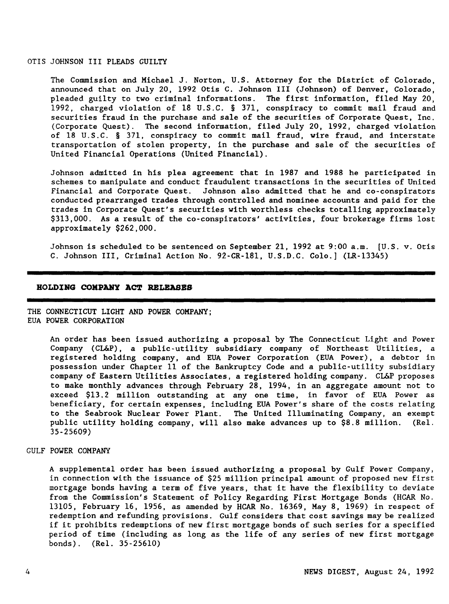#### OTIS JOHNSON III PLEADS GUILTY

The Commission and Michael J. Norton, U.S. Attorney for the District of Colorado, announced that on July 20, 1992 Otis C. Johnson III (Johnson) of Denver, Colorado, pleaded guilty to two criminal informations. The first information, filed May 20, 1992, charged violation of 18 U.S.C. § 371, conspiracy to commit mail fraud and securities fraud in the purchase and sale of the securities of Corporate Quest, Inc. (Corporate Quest). The second information, filed July 20, 1992, charged violation of 18 U.S.C. § 371, conspiracy to commit mail fraud, wire fraud, and interstate transportation of stolen property, in the purchase and sale of the securities of United Financial Operations (United Financial).

Johnson admitted in his plea agreement that in 1987 and 1988 he participated in schemes to manipulate and conduct fraudulent transactions in the securities of United Financial and Corporate Quest. Johnson also admitted that he and co-conspirators conducted prearranged trades through controlled and nominee accounts and paid for the trades in Corporate Quest's securities with worthless checks totalling approximately \$313,000. As a result of the co-conspirators' activities, four brokerage firms lost approximately \$262,000.

Johnson is scheduled to be sentenced on September 21, 1992 at 9:00 a.m. [U.S. v. Otis C. Johnson III, Criminal Action No. 92-CR-18l, U.S.D.C. Colo.] (LR-13345)

#### **HOLDING COMPANY ACT RELEASBS**

THE CONNECTICUT LIGHT AND POWER COMPANY; EUA POWER CORPORATION

> An order has been issued authorizing a proposal by The Connecticut Light and Power Company (CL&P), a public-utility subsidiary company of Northeast Utilities, a registered holding company, and EUA Power Corporation (EUA Power), a debtor in possession under Chapter 11 of the Bankruptcy Code and a public-utility subsidiary company of Eastern Utilities Associates, a registered holding company. CL&P proposes to make monthly advances through February 28, 1994, in an aggregate amount not to exceed \$13.2 million outstanding at anyone time, in favor of EUA Power as beneficiary, for certain expenses, including EUA Power's share of the costs relating to the Seabrook Nuclear Power Plant. The United Illuminating Company, an exempt public utility holding company, will also make advances up to \$8.8 million. (ReI. 35-25609)

# GULF POWER COMPANY

A supplemental order has been issued authorizing a proposal by Gulf Power Company, in connection with the issuance of \$25 million principal amount of proposed new first mortgage bonds having a term of five years, that it have the flexibility to deviate from the Commission's Statement of Policy Regarding First Mortgage Bonds (HCAR No. 13105, February 16, 1956, as amended by HCAR No. 16369, May 8, 1969) in respect of redemption and refunding provisions. Gulf considers that cost savings may be realized if it prohibits redemptions of new first mortgage bonds of such series for a specified period of time (including as long as the life of any series of new first mortgage bonds) . (ReI. 35-25610)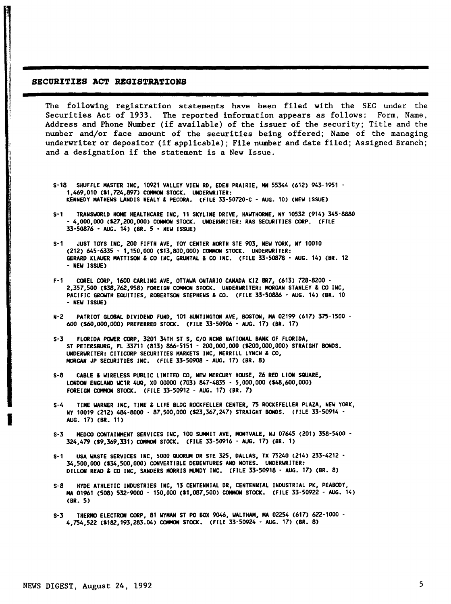#### SECURITIES ACT REGISTRATIONS

in the following of the following of the following of the following of the following of the following of the f<br>In the following of the following of the following of the following of the following of the following of the f I

I

The following registration statements have been filed with the SEC under the Securities Act of 1933. The reported information appears as follows: Form, Name, Address and Phone Number (if available) of the issuer of the security; Title and the number and/or face amount of the securities being offered; Name of the managing underwriter or depositor (if applicable); File number and date filed; Assigned Branch; and a designation if the statement is a New Issue.

- S-18 SHUFFLE MASTER INC, 10921 VALLEY VIEW RD, EDEN PRAIRIE, MN 55344 (612) 943-1951 1,469,010 (\$1,724,897> COMMON STOCK. UNDERWRITER: KENNEDY MATHEWS LANDIS HEALY & PECORA. (FILE 33-50720-C - AUG. 10) (NEW ISSUE)
- S-1 TRANSWORLD HOME HEALTHCARE INC, 11 SKYLINE DRIVE, HAWTHORNE, NY 10532 (914) 345-8880 - 4,000,000 (\$27,200,000) COMMON STOCK. UNDERWRITER: RAS SECURITIES CORP. (FILE 33-50876 - AUG. 14) (BR. 5 - NEW ISSUE)
- S-1 JUST TOYS INC, 200 FIFTH AVE, TOY CENTER NORTH STE 903, NEW YORK, NY 10010 (212) 645-6335 - 1,150,000 (\$13,800,000) COMMON STOCK. UNDERWRITER: GERARD KLAUER MATTISON & CO INC, GRUNTAL & CO INC. (FILE 33-50878 - AUG. 14) (BR. <sup>12</sup> - NEW ISSUE)
- COREL CORP, 1600 CARLING AVE, OTTAWA ONTARIO CANADA KIZ 8R7, (613) 728-8200 -2,357,500 (\$38,762,958) FOREIGN COMMON STOCK. UNDERWRITER: MORGAN STANLEY & CO INC, PACIFIC GROWTH EQUITIES, ROBERTSON STEPHENS & CO. (FILE 33-50886 - AUG. 14) (BR. <sup>10</sup> - NEW ISSUE)
- N-2 PATRIOT GLOBAL DIVIDEND FUND, 101 HUNTINGTON AVE, BOSTON, MA 02199 (617) 375-1500 600 (\$60,000,000) PREFERREO STOCK. (FILE 33-50906 - AUG. 17) (BR. 17)
- S-3 FLORIDA POWER CORP, 3201 34TH ST S, *CIO* NCNB NATIONAL BANK OF FLORIDA, ST PETERSBURG, FL 33711 (813) 866-5151 - 200,000,000 (\$200,000,000) STRAIGHT BONDS. UNDERWRITER: CITICORP SECURITIES MARKETS INC, MERRILL LYNCH & CO, MORGAN JP SECURITIES INC. (FILE *33-50908 -* AUG. 17) (BR. 8)
- S-8 CABLE & WIRELESS PUBLIC LIMITED CO, NEW MERCURY HOUSE, <sup>26</sup> RED LION SQUARE, LONDON ENGLAND WC1R 4UQ, XO 00000 (703) 847-4835 - 5,000,000 (S48,6OO,000) FOREIGN COMMON STOCK. (FILE 33-50912 - AUG. 17) (BR. 7)
- TIME WARNER INC, TIME & LIFE BLDG ROCKFELLER CENTER, 75 ROCKEFELLER PLAZA, NEW YORK, NY 10019 (212) 484-8000 - 87,500,000 (\$23,367,247) STRAIGHT BONDS. (FILE 33-50914 - AUG. 17) (BR. 11)
- S-3 MEDCO CONTAINMENT SERVICES INC, 100 SUMMIT AVE, MONTVALE, NJ 07645 (201) 358-5400 -324,479 (\$9,369,331) COMMON STOCK. (FILE 33-50916 - AUG. 17) (BR. 1)
- S-1 USA WASTE SERVICES INC, 5000 QUORUM DR STE 325, DALLAS, TX 75240 (214) 233-4212 34,500,000 (\$34,500,000) CONVERTIBLE DEBENTURES AND NOTES. UNDERWRITER: DILLON READ & CO INC, SANDERS MORRIS MUNDY INC. (FILE 33-50918 - AUG. 17) (BR. 8)
- S-8 HYDE ATHLETIC INDUSTRIES INC, 13 CENTENNIAL DR, CENTENNIAL INDUSTRIAL PK, PEABODY, MA 01961 (508) 532-9000 - 150,000 (\$1,087,500) COMMON STOCK. (FILE 33-50922 - AUG. 14) (SR. 5)
- S-3 THERMO ELECTRON CORP, 81 WYMAN ST PO BOX 9046, WALTHAM, MA 02254 (617) 622-1000 4,754,522 (\$182,193,283.04) COMMON STOCK. (FILE 33-50924 - AUG. 17) (SR. 8)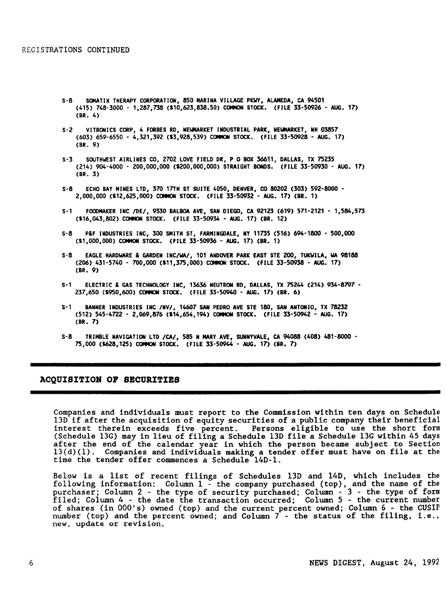- S-8 SOMATIX THERAPY CORPORATION, 850 MARINA VILLAGE PKWY, ALAMEDA, CA 94501 (415) 748-3000 - 1,287,738 (\$10,623,838\_50) COMMON STOCK. (FILE 33-50926 - AUG. 17) (BR. 4)
- S-2 VITRONICS CORP, 4 FORBES RD, NEWMARKET INDUSTRIAL PARK, NEWMARKET, NH 03857 (603) 659-6550 - 4,321,392 (\$3,928,539) COMMON STOCK. (FILE 33-50928 - AUG. 17) (BR. 9)
- S-3 SOUTHWEST AIRLINES CO, 2702 LOVE FIELD DR, POBOX 36611, DALLAS, TX 75235 (214) 904-4000 - 200,000,000 (\$200,000,000) STRAIGHT BONDS. (FILE 33-50930 - AUG. 17) (BR. 3)
- S-8 ECHO BAY MINES LTD, 370 17TH ST SUITE 4050, DENVER, CO 80202 (303) 592-8000 2,000,000 (\$12,625,000) COMMON STOCK. (FILE 33-50932 - AUG. 17) (BR. 1)
- S-1 FOODMAKER INC *IDEI,* 9330 BALBOA AVE, SAN DIEGO, CA 92123 (619) 571-2121 1,584,573 (\$16,043,802) COMMON STOCK. (FILE 33-50934 - AUG. 17) (BR. 12)
- S-8 P&F INDUSTRIES INC, 300 SMITH ST, FARMINGDALE, NY 11735 (516) 694-1800 500,000 (\$1,000,000) COMMON STOCK. (FILE 33-50936 - AUG. 17) (BR. 1)
- S-8 EAGLE HARDWARE & GARDEN I*NCIWAI,* 101 ANDOVER PARK EAST STE ZOO, TUKWILA, WA 98188 (206) 431-5740 - 700,000 (\$11,375,000) COMMON STOCK. (FILE 33-50938 - AUG. 17) (BR. 9)
- S-1 ELECTRIC & GAS TECHNOLOGY INC, 13636 NEUTRON RD, DALLAS, TX 75244 (214) 934-8797 237,650 (\$950,600) COMMON STOCK. (FILE 33-50940 - AUG. 17) (BR. 6)
- S-' BANNER INDUSTRIES INC *INVI,* 14607 SAN PEDRO AVE STE 180, SAN ANTONIO, TX 78232 (512) 545-4722 - 2,069,876 (\$14,654,194) COMMON STOCK. (FILE 33-50942 - AUG. 17) (BR. 7)
- S-8 TRIMBLE NAVIGATION LTD *ICA/,* 585 N MARY AVE, SUNNYVALE, CA 94088 (408) 481-8000 75,000 (S628,125) COMMON STOCK. (FILE 33-50944 - AUG. 17) (BR. 7)

#### ACQUISITION OP SBCURITIBS

Companies and individuals must report to the Commission within ten days on Schedule 13D if after the acquisition of equity securities of a public company their beneficial interest therein exceeds five percent. Persons eligible to use the short form (Schedule l3G) may in lieu of filing a Schedule l3D file a Schedule l3G within 45 days after the end of the calendar year in which the person became subject to Section l3(d)(1). Companies and individuals making a tender offer must have on file at the time the tender offer commences a Schedule l4D-l.

Below is a list of recent filings of Schedules 13D and l4D, which includes the following information: Column 1 - the company purchased (top), and the name of the purchaser; Column 2 - the type of security purchased; Column - 3 - the type of form filed; Column 4 - the date the transaction occurred; Column 5 - the current number of shares (in OOO's) owned (top) and the current percent owned; Column 6 - the CUSIP number (top) and the percent owned; and Column 7 - the status of the filing, i.e., new, update or revision.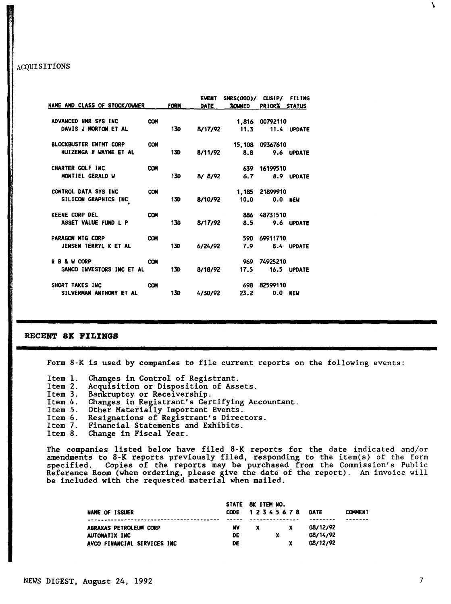## ACQUISITIONS

| NAME AND CLASS OF STOCK/OWNER |            | <b>FORM</b> | <b>EVENT</b><br><b>DATE</b> | SHRS(000)/ CUSIP/<br><b>XOUNED</b> | <b>PRIORX</b>    | <b>FILING</b><br><b>STATUS</b> |
|-------------------------------|------------|-------------|-----------------------------|------------------------------------|------------------|--------------------------------|
| ADVANCED NMR SYS INC          | COM        |             |                             |                                    | 1,816 00792110   |                                |
| DAVIS J MORTON ET AL          |            | 13D         | 8/17/92                     |                                    | 11.3 11.4 UPDATE |                                |
| <b>BLOCKBUSTER ENTMT CORP</b> | COM        |             |                             |                                    | 15,108 09367610  |                                |
| HUIZENGA H WAYNE ET AL        |            | 130         | 8/11/92                     | 8.8                                | 9.6 UPDATE       |                                |
| CHARTER GOLF INC              | <b>COM</b> |             |                             |                                    | 639 16199510     |                                |
| MONTIEL GERALD W              |            | 130         |                             | $8/8/92$ 6.7                       | 8.9 UPDATE       |                                |
| CONTROL DATA SYS INC          | <b>COM</b> |             |                             |                                    | 1,185 21899910   |                                |
| SILICON GRAPHICS INC          |            | 130         | 8/10/92                     | 10.0                               |                  | $0.0$ NEW                      |
| <b>KEENE CORP DEL</b>         | <b>COM</b> |             |                             |                                    | 886 48731510     |                                |
| ASSET VALUE FUND L P          |            | <b>130</b>  | 8/17/92                     | 8.5                                | 9.6 UPDATE       |                                |
| PARAGON MTG CORP              | <b>COM</b> |             |                             |                                    | 590 69911710     |                                |
| JENSEN TERRYL K ET AL         |            | <b>130</b>  | 6/24/92                     | 7.9                                | 8.4 UPDATE       |                                |
| R B & W CORP                  | <b>COM</b> |             |                             | 969                                | 74925210         |                                |
| GAMCO INVESTORS INC ET AL     |            | <b>13D</b>  | 8/18/92                     | 17.5                               | 16.5 UPDATE      |                                |
| SHORT TAKES INC               | <b>COM</b> |             |                             | 698                                | 82599110         |                                |
| SILVERMAN ANTHONY ET AL       |            | 13D         | 4/30/92                     | 23.2                               |                  | <b>0.0 NEW</b>                 |

#### RECENT ax PILINGS

Form 8-K is used by companies to file current reports on the following events:

- 
- Item l. Changes in Control of Registrant. Item 2. Acquisition or Disposition of Assets.
- Item 3. Bankruptcy or Receivership.
- Item 4. Changes in Registrant's Certifying Accountant.
- Item 5. Other Materially Important Events.
- Item 6. Resignations of Registrant's Directors.
- Item 7. Financial Statements and Exhibits.<br>Item 8. Change in Fiscal Year.
- Change in Fiscal Year.

The companies listed below have filed 8-K reports for the date indicated and/or amendments to 8-K reports previously filed, responding to the item(s) of the form specified. Copies of the reports may be purchased from the Commission's Public Reference Room (when ordering, please give the date of the report). An invoice will be included with the requested material when mailed.

|                             |       | STATE 8K ITEM MO. |               |          |                |
|-----------------------------|-------|-------------------|---------------|----------|----------------|
| NAME OF ISSUER              |       |                   | CODE 12345678 | DATE     | <b>COMMENT</b> |
|                             | ----- |                   |               |          |                |
| ABRAXAS PETROLEUM CORP      | NV    |                   |               | 08/12/92 |                |
| AUTOMATIX INC               | DE    |                   | x             | 08/14/92 |                |
| AVCO FINANCIAL SERVICES INC | DE    |                   |               | 08/12/92 |                |

7

\